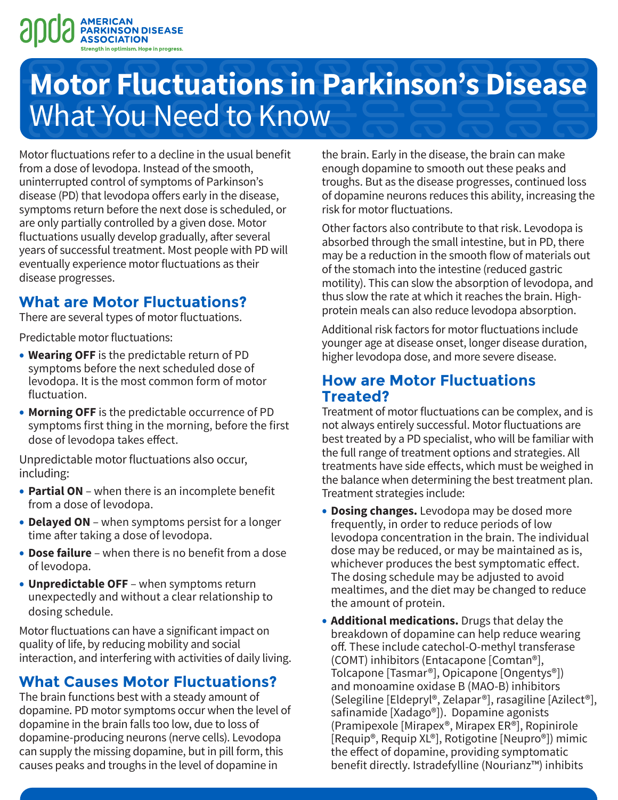

# **Motor Fluctuations in Parkinson's Disease**  What You Need to Know

Motor fluctuations refer to a decline in the usual benefit from a dose of levodopa. Instead of the smooth, uninterrupted control of symptoms of Parkinson's disease (PD) that levodopa offers early in the disease, symptoms return before the next dose is scheduled, or are only partially controlled by a given dose. Motor fluctuations usually develop gradually, after several years of successful treatment. Most people with PD will eventually experience motor fluctuations as their disease progresses.

## **What are Motor Fluctuations?**

There are several types of motor fluctuations.

Predictable motor fluctuations:

- **Wearing OFF** is the predictable return of PD symptoms before the next scheduled dose of levodopa. It is the most common form of motor fluctuation.
- **Morning OFF** is the predictable occurrence of PD symptoms first thing in the morning, before the first dose of levodopa takes effect.

Unpredictable motor fluctuations also occur, including:

- **Partial ON** when there is an incomplete benefit from a dose of levodopa.
- **Delayed ON** when symptoms persist for a longer time after taking a dose of levodopa.
- **Dose failure** when there is no benefit from a dose of levodopa.
- **Unpredictable OFF** when symptoms return unexpectedly and without a clear relationship to dosing schedule.

Motor fluctuations can have a significant impact on quality of life, by reducing mobility and social interaction, and interfering with activities of daily living.

## **What Causes Motor Fluctuations?**

The brain functions best with a steady amount of dopamine. PD motor symptoms occur when the level of dopamine in the brain falls too low, due to loss of dopamine-producing neurons (nerve cells). Levodopa can supply the missing dopamine, but in pill form, this causes peaks and troughs in the level of dopamine in

the brain. Early in the disease, the brain can make enough dopamine to smooth out these peaks and troughs. But as the disease progresses, continued loss of dopamine neurons reduces this ability, increasing the risk for motor fluctuations.

Other factors also contribute to that risk. Levodopa is absorbed through the small intestine, but in PD, there may be a reduction in the smooth flow of materials out of the stomach into the intestine (reduced gastric motility). This can slow the absorption of levodopa, and thus slow the rate at which it reaches the brain. Highprotein meals can also reduce levodopa absorption.

Additional risk factors for motor fluctuations include younger age at disease onset, longer disease duration, higher levodopa dose, and more severe disease.

### **How are Motor Fluctuations Treated?**

Treatment of motor fluctuations can be complex, and is not always entirely successful. Motor fluctuations are best treated by a PD specialist, who will be familiar with the full range of treatment options and strategies. All treatments have side effects, which must be weighed in the balance when determining the best treatment plan. Treatment strategies include:

- **Dosing changes.** Levodopa may be dosed more frequently, in order to reduce periods of low levodopa concentration in the brain. The individual dose may be reduced, or may be maintained as is, whichever produces the best symptomatic effect. The dosing schedule may be adjusted to avoid mealtimes, and the diet may be changed to reduce the amount of protein.
- **Additional medications.** Drugs that delay the breakdown of dopamine can help reduce wearing off. These include catechol-O-methyl transferase (COMT) inhibitors (Entacapone [Comtan®], Tolcapone [Tasmar®], Opicapone [Ongentys®]) and monoamine oxidase B (MAO-B) inhibitors (Selegiline [Eldepryl®, Zelapar®], rasagiline [Azilect®], safinamide [Xadago®]). Dopamine agonists (Pramipexole [Mirapex®, Mirapex ER®], Ropinirole [Requip®, Requip XL®], Rotigotine [Neupro®]) mimic the effect of dopamine, providing symptomatic benefit directly. Istradefylline (Nourianz™) inhibits